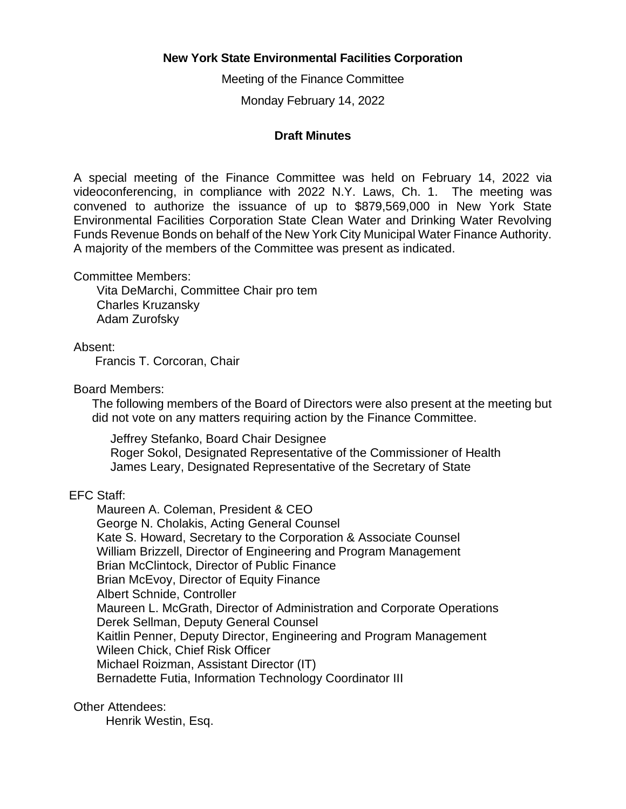# **New York State Environmental Facilities Corporation**

Meeting of the Finance Committee

Monday February 14, 2022

## **Draft Minutes**

 A special meeting of the Finance Committee was held on February 14, 2022 via videoconferencing, in compliance with 2022 N.Y. Laws, Ch. 1. The meeting was convened to authorize the issuance of up to \$879,569,000 in New York State Environmental Facilities Corporation State Clean Water and Drinking Water Revolving Funds Revenue Bonds on behalf of the New York City Municipal Water Finance Authority. A majority of the members of the Committee was present as indicated.

Committee Members:

Vita DeMarchi, Committee Chair pro tem Charles Kruzansky Adam Zurofsky

Absent:

Francis T. Corcoran, Chair

Board Members:

 The following members of the Board of Directors were also present at the meeting but did not vote on any matters requiring action by the Finance Committee.

Jeffrey Stefanko, Board Chair Designee Roger Sokol, Designated Representative of the Commissioner of Health James Leary, Designated Representative of the Secretary of State

# EFC Staff:

Maureen A. Coleman, President & CEO George N. Cholakis, Acting General Counsel Kate S. Howard, Secretary to the Corporation & Associate Counsel William Brizzell, Director of Engineering and Program Management Brian McClintock, Director of Public Finance Brian McEvoy, Director of Equity Finance Albert Schnide, Controller Maureen L. McGrath, Director of Administration and Corporate Operations Derek Sellman, Deputy General Counsel Kaitlin Penner, Deputy Director, Engineering and Program Management Wileen Chick, Chief Risk Officer Michael Roizman, Assistant Director (IT) Bernadette Futia, Information Technology Coordinator III

Other Attendees:

Henrik Westin, Esq.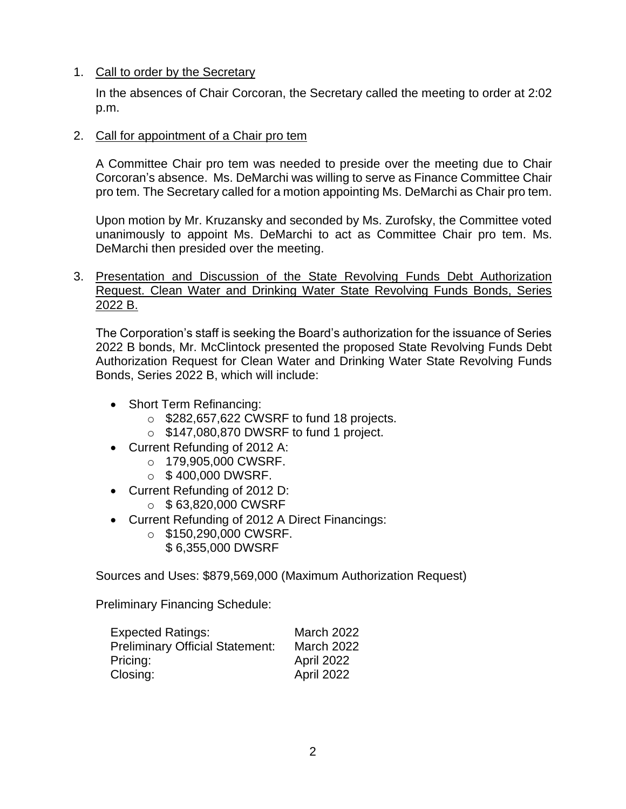# 1. Call to order by the Secretary

In the absences of Chair Corcoran, the Secretary called the meeting to order at 2:02 p.m.

## 2. Call for appointment of a Chair pro tem

 A Committee Chair pro tem was needed to preside over the meeting due to Chair Corcoran's absence. Ms. DeMarchi was willing to serve as Finance Committee Chair pro tem. The Secretary called for a motion appointing Ms. DeMarchi as Chair pro tem.

 Upon motion by Mr. Kruzansky and seconded by Ms. Zurofsky, the Committee voted unanimously to appoint Ms. DeMarchi to act as Committee Chair pro tem. Ms. DeMarchi then presided over the meeting.

 3. Presentation and Discussion of the State Revolving Funds Debt Authorization Request. Clean Water and Drinking Water State Revolving Funds Bonds, Series 2022 B.

 The Corporation's staff is seeking the Board's authorization for the issuance of Series 2022 B bonds, Mr. McClintock presented the proposed State Revolving Funds Debt Authorization Request for Clean Water and Drinking Water State Revolving Funds Bonds, Series 2022 B, which will include:

- Short Term Refinancing:
	- $\circ$  \$282,657,622 CWSRF to fund 18 projects.
	- o \$147,080,870 DWSRF to fund 1 project.
- Current Refunding of 2012 A:
	- o 179,905,000 CWSRF.
	- $\circ$  \$400,000 DWSRF.
- Current Refunding of 2012 D:
	- $\circ$  \$63,820,000 CWSRF
- Current Refunding of 2012 A Direct Financings:
	- o \$150,290,000 CWSRF.
		- \$ 6,355,000 DWSRF

Sources and Uses: \$879,569,000 (Maximum Authorization Request)

Preliminary Financing Schedule:

| <b>Expected Ratings:</b>               | <b>March 2022</b> |
|----------------------------------------|-------------------|
| <b>Preliminary Official Statement:</b> | <b>March 2022</b> |
| Pricing:                               | April 2022        |
| Closing:                               | April 2022        |